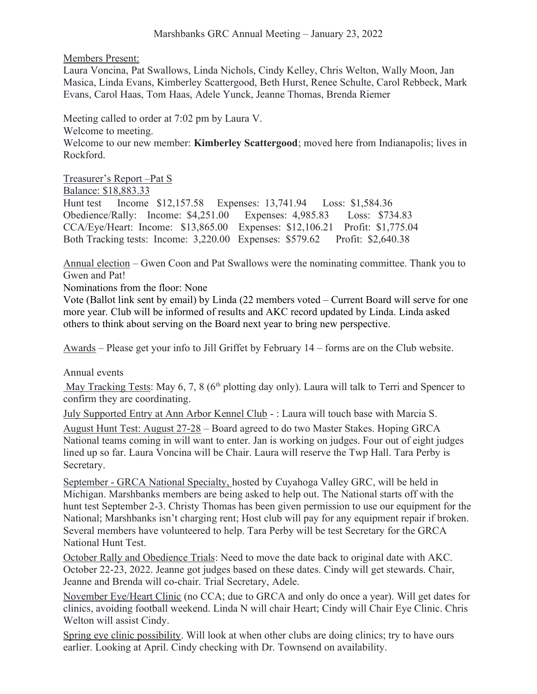Members Present:

Laura Voncina, Pat Swallows, Linda Nichols, Cindy Kelley, Chris Welton, Wally Moon, Jan Masica, Linda Evans, Kimberley Scattergood, Beth Hurst, Renee Schulte, Carol Rebbeck, Mark Evans, Carol Haas, Tom Haas, Adele Yunck, Jeanne Thomas, Brenda Riemer

Meeting called to order at 7:02 pm by Laura V.

Welcome to meeting.

Welcome to our new member: **Kimberley Scattergood**; moved here from Indianapolis; lives in Rockford.

Treasurer's Report –Pat S Balance: \$18,883.33 Hunt test Income \$12,157.58 Expenses: 13,741.94 Loss: \$1,584.36 Obedience/Rally: Income: \$4,251.00 Expenses: 4,985.83 Loss: \$734.83 CCA/Eye/Heart: Income: \$13,865.00 Expenses: \$12,106.21 Profit: \$1,775.04 Both Tracking tests: Income: 3,220.00 Expenses: \$579.62 Profit: \$2,640.38

Annual election – Gwen Coon and Pat Swallows were the nominating committee. Thank you to Gwen and Pat!

Nominations from the floor: None

Vote (Ballot link sent by email) by Linda (22 members voted – Current Board will serve for one more year. Club will be informed of results and AKC record updated by Linda. Linda asked others to think about serving on the Board next year to bring new perspective.

Awards – Please get your info to Jill Griffet by February 14 – forms are on the Club website.

Annual events

May Tracking Tests: May 6, 7, 8 ( $6<sup>th</sup>$  plotting day only). Laura will talk to Terri and Spencer to confirm they are coordinating.

July Supported Entry at Ann Arbor Kennel Club - : Laura will touch base with Marcia S. August Hunt Test: August 27-28 – Board agreed to do two Master Stakes. Hoping GRCA National teams coming in will want to enter. Jan is working on judges. Four out of eight judges lined up so far. Laura Voncina will be Chair. Laura will reserve the Twp Hall. Tara Perby is Secretary.

September - GRCA National Specialty, hosted by Cuyahoga Valley GRC, will be held in Michigan. Marshbanks members are being asked to help out. The National starts off with the hunt test September 2-3. Christy Thomas has been given permission to use our equipment for the National; Marshbanks isn't charging rent; Host club will pay for any equipment repair if broken. Several members have volunteered to help. Tara Perby will be test Secretary for the GRCA National Hunt Test.

 October Rally and Obedience Trials: Need to move the date back to original date with AKC. October 22-23, 2022. Jeanne got judges based on these dates. Cindy will get stewards. Chair, Jeanne and Brenda will co-chair. Trial Secretary, Adele.

November Eye/Heart Clinic (no CCA; due to GRCA and only do once a year). Will get dates for clinics, avoiding football weekend. Linda N will chair Heart; Cindy will Chair Eye Clinic. Chris Welton will assist Cindy.

Spring eye clinic possibility. Will look at when other clubs are doing clinics; try to have ours earlier. Looking at April. Cindy checking with Dr. Townsend on availability.